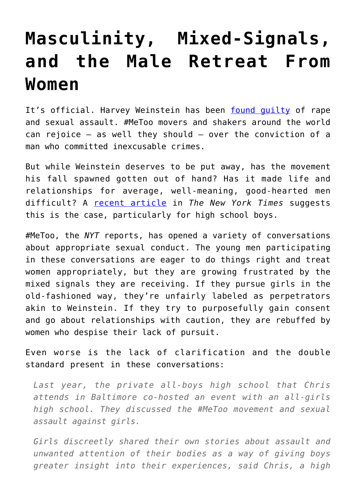## **[Masculinity, Mixed-Signals,](https://intellectualtakeout.org/2020/02/masculinity-mixed-signals-and-the-male-retreat-from-women/) [and the Male Retreat From](https://intellectualtakeout.org/2020/02/masculinity-mixed-signals-and-the-male-retreat-from-women/) [Women](https://intellectualtakeout.org/2020/02/masculinity-mixed-signals-and-the-male-retreat-from-women/)**

It's official. Harvey Weinstein has been [found guilty](https://www.politico.com/news/2020/02/24/harvey-weinstein-found-guilty-in-landmark-metoo-moment-117129) of rape and sexual assault. #MeToo movers and shakers around the world can rejoice – as well they should – over the conviction of a man who committed inexcusable crimes.

But while Weinstein deserves to be put away, has the movement his fall spawned gotten out of hand? Has it made life and relationships for average, well-meaning, good-hearted men difficult? A [recent article](https://www.nytimes.com/2020/02/20/education/learning/metoo-students-high-school.html) in *The New York Times* suggests this is the case, particularly for high school boys.

#MeToo, the *NYT* reports, has opened a variety of conversations about appropriate sexual conduct. The young men participating in these conversations are eager to do things right and treat women appropriately, but they are growing frustrated by the mixed signals they are receiving. If they pursue girls in the old-fashioned way, they're unfairly labeled as perpetrators akin to Weinstein. If they try to purposefully gain consent and go about relationships with caution, they are rebuffed by women who despise their lack of pursuit.

Even worse is the lack of clarification and the double standard present in these conversations:

*Last year, the private all-boys high school that Chris attends in Baltimore co-hosted an event with an all-girls high school. They discussed the #MeToo movement and sexual assault against girls.*

*Girls discreetly shared their own stories about assault and unwanted attention of their bodies as a way of giving boys greater insight into their experiences, said Chris, a high*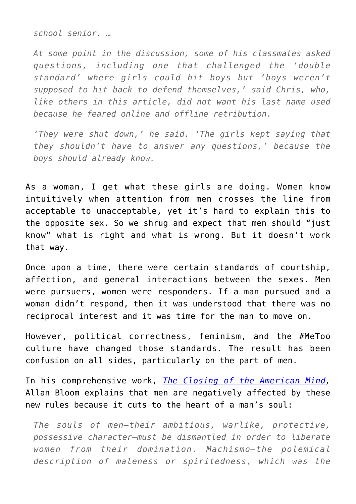*school senior. …*

*At some point in the discussion, some of his classmates asked questions, including one that challenged the 'double standard' where girls could hit boys but 'boys weren't supposed to hit back to defend themselves,' said Chris, who, like others in this article, did not want his last name used because he feared online and offline retribution.*

*'They were shut down,' he said. 'The girls kept saying that they shouldn't have to answer any questions,' because the boys should already know.*

As a woman, I get what these girls are doing. Women know intuitively when attention from men crosses the line from acceptable to unacceptable, yet it's hard to explain this to the opposite sex. So we shrug and expect that men should "just know" what is right and what is wrong. But it doesn't work that way.

Once upon a time, there were certain standards of courtship, affection, and general interactions between the sexes. Men were pursuers, women were responders. If a man pursued and a woman didn't respond, then it was understood that there was no reciprocal interest and it was time for the man to move on.

However, political correctness, feminism, and the #MeToo culture have changed those standards. The result has been confusion on all sides, particularly on the part of men.

In his comprehensive work, *[The Closing of the American Mind,](https://www.amazon.com/gp/product/1451683200/ref=as_li_qf_asin_il_tl?ie=UTF8&tag=intelltakeo0d-20&creative=9325&linkCode=as2&creativeASIN=1451683200&linkId=161445d7273d2e35771e131a4d4dfbfe)* Allan Bloom explains that men are negatively affected by these new rules because it cuts to the heart of a man's soul:

*The souls of men—their ambitious, warlike, protective, possessive character—must be dismantled in order to liberate women from their domination. Machismo—the polemical description of maleness or spiritedness, which was the*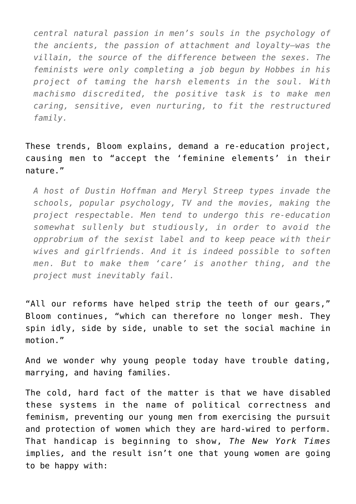*central natural passion in men's souls in the psychology of the ancients, the passion of attachment and loyalty—was the villain, the source of the difference between the sexes. The feminists were only completing a job begun by Hobbes in his project of taming the harsh elements in the soul. With machismo discredited, the positive task is to make men caring, sensitive, even nurturing, to fit the restructured family.*

These trends, Bloom explains, demand a re-education project, causing men to "accept the 'feminine elements' in their nature."

*A host of Dustin Hoffman and Meryl Streep types invade the schools, popular psychology, TV and the movies, making the project respectable. Men tend to undergo this re-education somewhat sullenly but studiously, in order to avoid the opprobrium of the sexist label and to keep peace with their wives and girlfriends. And it is indeed possible to soften men. But to make them 'care' is another thing, and the project must inevitably fail.*

"All our reforms have helped strip the teeth of our gears," Bloom continues, "which can therefore no longer mesh. They spin idly, side by side, unable to set the social machine in motion."

And we wonder why young people today have trouble dating, marrying, and having families.

The cold, hard fact of the matter is that we have disabled these systems in the name of political correctness and feminism, preventing our young men from exercising the pursuit and protection of women which they are hard-wired to perform. That handicap is beginning to show, *The New York Times* implies*,* and the result isn't one that young women are going to be happy with: